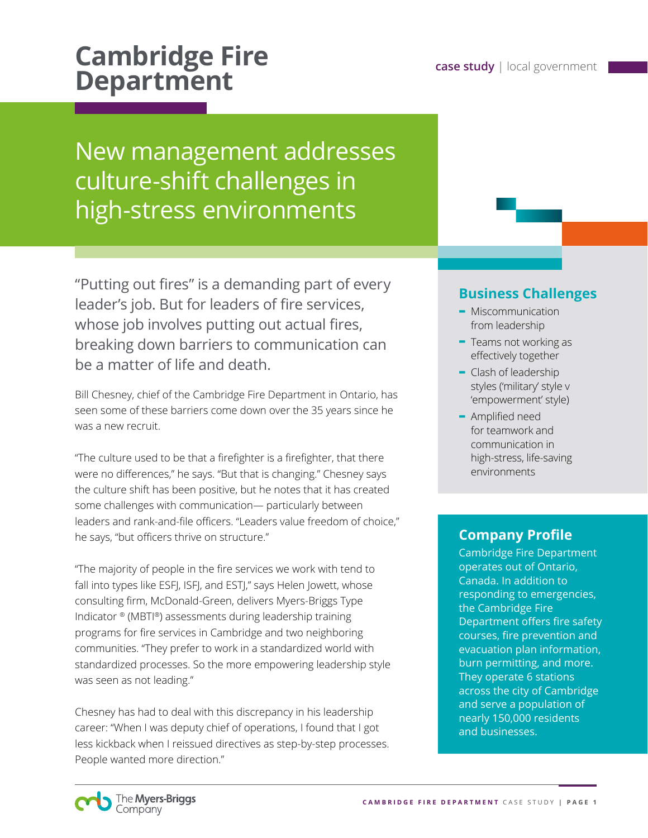# **Cambridge Fire Cambridge Fire Department**

# New management addresses culture-shift challenges in high-stress environments

"Putting out fires" is a demanding part of every leader's job. But for leaders of fire services, whose job involves putting out actual fires, breaking down barriers to communication can be a matter of life and death.

Bill Chesney, chief of the Cambridge Fire Department in Ontario, has seen some of these barriers come down over the 35 years since he was a new recruit.

"The culture used to be that a firefighter is a firefighter, that there were no differences," he says. "But that is changing." Chesney says the culture shift has been positive, but he notes that it has created some challenges with communication— particularly between leaders and rank-and-file officers. "Leaders value freedom of choice," he says, "but officers thrive on structure."

"The majority of people in the fire services we work with tend to fall into types like ESFJ, ISFJ, and ESTJ," says Helen Jowett, whose consulting firm, McDonald-Green, delivers Myers-Briggs Type Indicator ® (MBTI®) assessments during leadership training programs for fire services in Cambridge and two neighboring communities. "They prefer to work in a standardized world with standardized processes. So the more empowering leadership style was seen as not leading."

Chesney has had to deal with this discrepancy in his leadership career: "When I was deputy chief of operations, I found that I got less kickback when I reissued directives as step-by-step processes. People wanted more direction."

### **Business Challenges**

- **-** Miscommunication from leadership
- **-** Teams not working as effectively together
- **-** Clash of leadership styles ('military' style v 'empowerment' style)
- **-** Amplified need for teamwork and communication in high-stress, life-saving environments

## **Company Profile**

Cambridge Fire Department operates out of Ontario, Canada. In addition to responding to emergencies, the Cambridge Fire Department offers fire safety courses, fire prevention and evacuation plan information, burn permitting, and more. They operate 6 stations across the city of Cambridge and serve a population of nearly 150,000 residents and businesses.

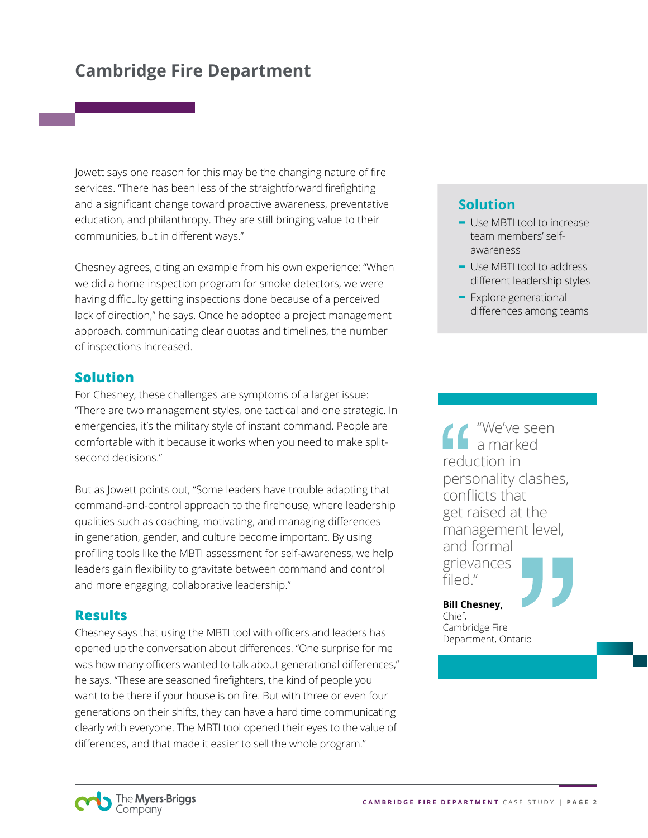# **Cambridge Fire Department**

Jowett says one reason for this may be the changing nature of fire services. "There has been less of the straightforward firefighting and a significant change toward proactive awareness, preventative education, and philanthropy. They are still bringing value to their communities, but in different ways."

Chesney agrees, citing an example from his own experience: "When we did a home inspection program for smoke detectors, we were having difficulty getting inspections done because of a perceived lack of direction," he says. Once he adopted a project management approach, communicating clear quotas and timelines, the number of inspections increased.

#### **Solution**

For Chesney, these challenges are symptoms of a larger issue: "There are two management styles, one tactical and one strategic. In emergencies, it's the military style of instant command. People are comfortable with it because it works when you need to make splitsecond decisions."

But as Jowett points out, "Some leaders have trouble adapting that command-and-control approach to the firehouse, where leadership qualities such as coaching, motivating, and managing differences in generation, gender, and culture become important. By using profiling tools like the MBTI assessment for self-awareness, we help leaders gain flexibility to gravitate between command and control and more engaging, collaborative leadership."

#### **Results**

Chesney says that using the MBTI tool with officers and leaders has opened up the conversation about differences. "One surprise for me was how many officers wanted to talk about generational differences," he says. "These are seasoned firefighters, the kind of people you want to be there if your house is on fire. But with three or even four generations on their shifts, they can have a hard time communicating clearly with everyone. The MBTI tool opened their eyes to the value of differences, and that made it easier to sell the whole program."

### **Solution**

- **-** Use MBTI tool to increase team members' selfawareness
- **-** Use MBTI tool to address different leadership styles
- **-** Explore generational differences among teams

"We've seen a marked reduction in personality clashes, conflicts that get raised at the management level, and formal grievances filed."

#### **Bill Chesney,**

Chief, Cambridge Fire Department, Ontario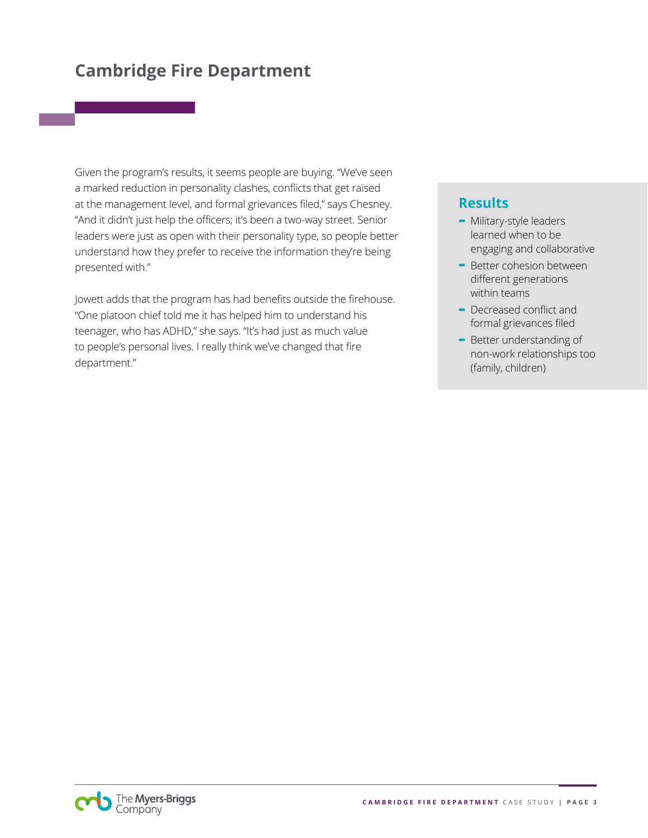# **Cambridge Fire Department**

Given the program's results, it seems people are buying. "We've seen a marked reduction in personality clashes, conflicts that get raised at the management level, and formal grievances filed," says Chesney. "And it didn't just help the officers; it's been a two-way street. Senior leaders were just as open with their personality type, so people better understand how they prefer to receive the information they're being presented with."

Jowett adds that the program has had benefits outside the firehouse. "One platoon chief told me it has helped him to understand his teenager, who has ADHD," she says. "It's had just as much value to people's personal lives. I really think we've changed that fire department."

#### **Results**

- **-** Military-style leaders learned when to be engaging and collaborative
- **-** Better cohesion between different generations within teams
- **-** Decreased conflict and formal grievances filed
- **-** Better understanding of non-work relationships too (family, children)